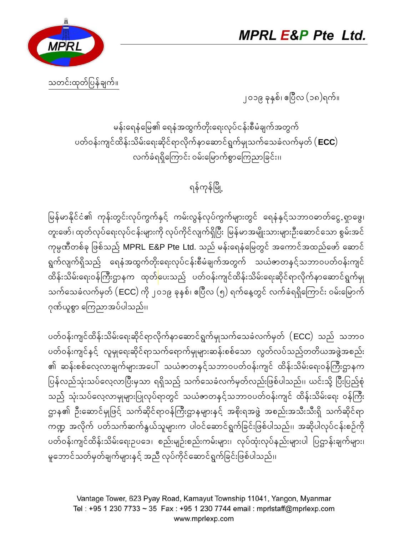



သတင်းထုတ်ပြန်ချက်။

၂၀၁၉ ခုနှစ်၊ ဧပြီလ (၁၈)ရက်။

မန်းရေနံမြေ၏ ရေနံအထွက်တိုးရေးလုပ်ငန်းစီမံချက်အတွက် ပတ်ဝန်းကျင်ထိန်းသိမ်းရေးဆိုင်ရာလိုက်နာဆောင်ရွက်မျသက်သေခဲလက်မှတ် ( **ECC**) လက်ခံရရှိကြောင်း ဝမ်းမြောက်စွာကြေညာခြင်း၊၊

## ရန်ကုန်မြို့

မြန်မာနိုင်ငံ၏ ကုန်းတွင်းလုပ်ကွက်နှင့် ကမ်းလွန်လုပ်ကွက်များတွင် ရေနံနှင့်သဘာဝဓာတ်ငွေ ရှာဖွေ၊ တူးဖော်၊ ထုတ်လုပ်ရေးလုပ်ငန်းများကို လုပ်ကိုင်လျက်ရှိပြီး မြန်မာအမျိုးသားများဦးဆောင်သော စွမ်းအင် ကုမ္ပဏီတစ်ခု ဖြစ်သည် MPRL E&P Pte Ltd. သည် မန်းရေနံမြေတွင် အကောင်အထည်ဖော် ဆောင် ရွက်လျက်ရှိသည် ရေနံအထွက်တိုးရေးလုပ်ငန်းစီမံချက်အတွက် သယံဇာတနင့်သဘာဝပတ်ဝန်းကျင် ု့ ထိန်းသိမ်းရေးဝန်ကြီးဌာနက ထုတ်ပေးသည့် ပတ်ဝန်းကျင်ထိန်းသိမ်းရေးဆိုင်ရာလိုက်နာဆောင်ရွက်မျ သက်သေခံလက်မှတ် (ECC) ကို ၂၀၁၉ ခုနစ်၊ ဧပြီလ (၅) ရက်နေ့တွင် လက်ခံရရှိကြောင်း ဝမ်းမြောက် ဂုဏ်ယူစွာ ကြေညာအပ်ပါသည်၊၊

ပတ်ဝန်းကျင်ထိန်းသိမ်းရေးဆိုင်ရာလိုက်နာဆောင်ရွက်မျသက်သေခံလက်မှတ်  $(\mathsf{ECC})$  သည် သဘာဝ ပတ်ဝန်းကျင်နှင့် လူမှုရေးဆိုင်ရာသက်ရောက်မှုများဆန်းစစ်သော လွတ်လပ်သည့်တတိယအဖွဲ့အစည်း ၏ ဆန်းစစ်လေ့လာချက်များအပေါ် သယံဇာတနင့်သဘာဝပတ်ဝန်းကျင် ထိန်းသိမ်းရေးဝန်ကြီးဌာနက ပြန်လည်သုံးသပ်လေ့လာပြီးမှသာ ရရှိသည် သက်သေခံလက်မှတ်လည်းဖြစ်ပါသည်၊၊ ယင်းသို့ ပြီးပြည့်စုံ သည် သုံးသပ်လေ့လာမှုများပြုလုပ်ရာတွင် သယံဇာတနင့်သဘာဝပတ်ဝန်းကျင် ထိန်းသိမ်းရေး ဝန်ကြီး ဌာန၏ ဦးဆောင်မှုဖြင့် သက်ဆိုင်ရာဝန်ကြီးဌာနများနင့် အစိုးရအဖွဲ့ အစည်းအသီးသီးရှိ သက်ဆိုင်ရာ ကဏ္ဍ အလိုက် ပတ်သက်ဆက်နွယ်သူများက ပါဝင်ဆောင်ရွက်ခြင်းဖြစ်ပါသည်၊၊ အဆိုပါလုပ်ငန်းစဉ်ကို ပတ်ဝန်းကျင်ထိန်းသိမ်းရေးဥပဒေ၊ စည်းမျဉ်းစည်းကမ်းများ၊ လုပ်ထုံးလုပ်နည်းများပါ ပြဋ္ဌာန်းချက်များ၊ မှုဘောင်သတ်မှတ်ချက်များနင့် အညီ လုပ်ကိုင်ဆောင်ရွက်ခြင်းဖြစ်ပါသည်၊၊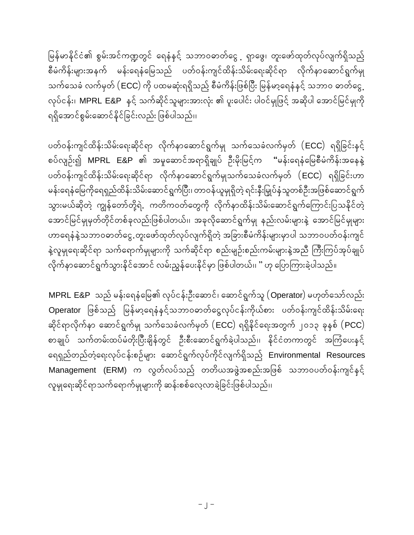မြန်မာနိင်ငံ၏ စွမ်းအင်ကဏ္ဍတွင် ရေနံနင့် သဘာဝဓာတ်ငွေ ့ရှာဖွေ၊ တူးဖော်ထုတ်လုပ်လျက်ရှိသည် စီမံကိန်းများအနက် မန်းရေနံမြေသည် ပတ်ဝန်းကျင်ထိန်းသိမ်းရေးဆိုင်ရာ လိုက်နာဆောင်ရွက်မျ **oufaocH vufrSwf (**ECC**) udk yxrqkH:\\Sdonfh pDrHudef:]zpf]yD: ]refrmha\eHeSifh obm0 "mwfaiG h vkyfief:?** MPRL E&P **eSifh oufqkdifolrsm:tm:vHk: > yl:aygif: yg0ifrSK]zifh tqdkyg atmif]rifrSKudk** ရရှိအောင်စွမ်းဆောင်နိုင်ခြင်းလည်း ဖြစ်ပါသည်၊၊

 $v$ တ်ဝန်းကျင်ထိန်းသိမ်းရေးဆိုင်ရာ လိုက်နာဆောင်ရွက်မှု သက်သေခံလက်မှတ်  $(\mathsf{ECC})$  ရရှိခြင်းနှင့် စပ်လျဉ်း၍ MPRL E&P ၏ အမှုဆောင်အရာရှိချုပ် ဦးမိုးမြင့်က "မန်းရေနံမြေစီမံကိန်းအနေနဲ့  $v$ တ်ဝန်းကျင်ထိန်းသိမ်းရေးဆိုင်ရာ လိုက်နာဆောင်ရွက်မျသက်သေခံလက်မှတ်  $(ECC)$  ရရှိခြင်းဟာ မန်းရေနံမြေကိုရေရှည်ထိန်းသိမ်းဆောင်ရွက်ပြီး၊ တာဝန်ယူမှုရှိတဲ့ ရင်းနီးမြှုပ်န<mark>ံ</mark>သူတစ်ဦးအဖြစ်ဆောင်ရွက် သွားမယ်ဆိုတဲ့ ကျွန်တော်တို့ရဲ. ကတိကဝတ်တွေကို လိုက်နာထိန်းသိမ်းဆောင်ရွက်ကြောင်းပြသနိုင်တဲ့ **atmif]rifrSKrSwfwkdifwpfckvnf:]zpfygw<f?? tckvdkaqmif\GufrSK enf:vrf:rsm:eJh atmif]rifrSKrsm:**  $\omega$ ာရေနံနဲ့သဘာဝဓာတ်ငွေ.တူးဖော်ထုတ်လုပ်လျက်ရှိတဲ့ အခြားစီမံကိန်းများမှာပါ သဘာဝပတ်ဝန်းကျင် နဲ့လူမှုရေးဆိုင်ရာ သက်ရောက်မှုများကို သက်ဆိုင်ရာ စည်းမျဉ်းစည်းကမ်းများနဲ့အညီ ကြီးကြပ်အုပ်ချုပ် လိုက်နာဆောင်ရွက်သွားနိုင်အောင် လမ်းညွန်ပေးနိုင်မှာ ဖြစ်ပါတယ်၊၊ " ဟု ပြောကြားခဲ့ပါသည်။

 $\textsf{MPRL E8P}\ \textsf{up}$ စ် မန်းရေနံမြေ၏ လုပ်ငန်းဦးဆောင်၊ ဆောင်ရွက်သူ  $\textsf{(Operator)}$  မဟုတ်သော်လည်း  $D$ perator ဖြစ်သည် မြန်မာ့ရေနံနှင့်သဘာဝဓာတ်ငွေလုပ်ငန်းကိုယ်စား ပတ်ဝန်းကျင်ထိန်းသိမ်းရေး **qdkif\mvdkufem aqmif\GufrSK oufaocHvufrSwf (**ECC**) \\Sdekdifa\:twGuf 2013 ckeSpf (**PCC**)** စာချုပ် သက်တမ်းထပ်မံတိုးပြီးချိန်တွင် ဉီးစီးဆောင်ရွက်ခဲ့ပါသည်၊၊ နိုင်ငံတကာတွင် အကြံပေးနှင့် **a\\SnfwnfwHha\:vkyfief:pOfrsm: aqmif\Gufvkyfudkifvsuf\Sdonfh** Environmental Resources  $M$ anagement (ERM) က လွတ်လပ်သည် တတိယအဖွဲအစည်းအဖြစ် သဘာဝပတ်ဝန်းကျင်နင် လူမှုရေးဆိုင်ရာသက်ရောက်မှုများကို ဆန်းစစ်လေ့လာခဲ့ခြင်းဖြစ်ပါသည်၊၊